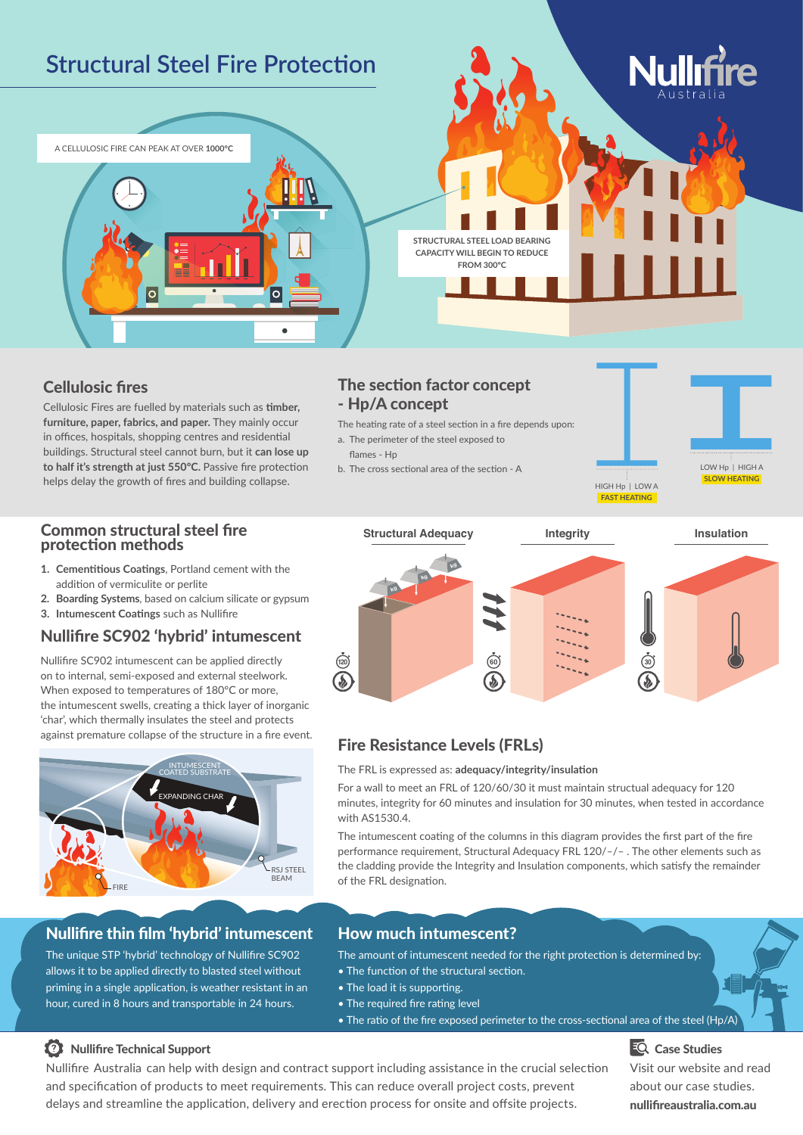

### Cellulosic fires

Cellulosic Fires are fuelled by materials such as **timber, furniture, paper, fabrics, and paper.** They mainly occur in offices, hospitals, shopping centres and residential buildings. Structural steel cannot burn, but it **can lose up to half it's strength at just 550ºC.** Passive fire protection helps delay the growth of fires and building collapse.

### The section factor concept - Hp/A concept

The heating rate of a steel section in a fire depends upon:

a. The perimeter of the steel exposed to flames - Hn

b. The cross sectional area of the section - A  $\blacksquare$  LOW Hp | HIGH A



### Common structural steel fire protection methods

- **1. Cementitious Coatings**, Portland cement with the addition of vermiculite or perlite
- **2. Boarding Systems**, based on calcium silicate or gypsum
- **3. Intumescent Coatings** such as Nullifire

### Nullifire SC902 'hybrid' intumescent

Nullifire SC902 intumescent can be applied directly on to internal, semi‑exposed and external steelwork. When exposed to temperatures of 180°C or more, the intumescent swells, creating a thick layer of inorganic 'char', which thermally insulates the steel and protects against premature collapse of the structure in a fire event.



# Nullifire thin film 'hybrid' intumescent

The unique STP 'hybrid' technology of Nullifire SC902 allows it to be applied directly to blasted steel without priming in a single application, is weather resistant in an hour, cured in 8 hours and transportable in 24 hours.

#### **Structural Adequacy Integrity Insulation**



# Fire Resistance Levels (FRLs)

The FRL is expressed as: **adequacy/integrity/insulation**

For a wall to meet an FRL of 120/60/30 it must maintain structual adequacy for 120 minutes, integrity for 60 minutes and insulation for 30 minutes, when tested in accordance with AS1530.4.

The intumescent coating of the columns in this diagram provides the first part of the fire performance requirement, Structural Adequacy FRL 120/–/– . The other elements such as the cladding provide the Integrity and Insulation components, which satisfy the remainder of the FRL designation.

## How much intumescent?

The amount of intumescent needed for the right protection is determined by:

- The function of the structural section.
- The load it is supporting.
- The required fire rating level
- The ratio of the fire exposed perimeter to the cross-sectional area of the steel (Hp/A)

# Nullifire Technical Support

Nullifire Australia can help with design and contract support including assistance in the crucial selection and specification of products to meet requirements. This can reduce overall project costs, prevent delays and streamline the application, delivery and erection process for onsite and offsite projects.

**EQ** Case Studies Visit our website and read about our case studies. nullifireaustralia.com.au